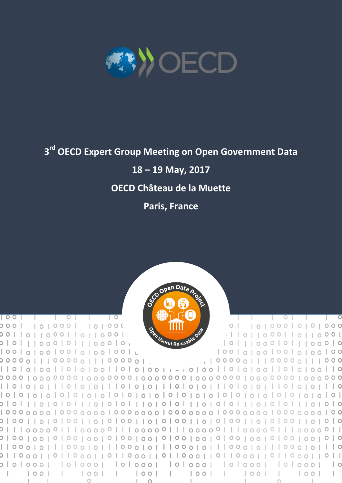

# **3 rd OECD Expert Group Meeting on Open Government Data**

**18 – 19 May, 2017**

# **OECD Château de la Muette**

**Paris, France**



 $\overline{\phantom{0}}$ 

 $\circ$ 

 $\overline{\phantom{a}}$ 

 $\mathbf{L}$ 

 $\overline{\phantom{0}}$   $\overline{\phantom{0}}$ 

 $\circ$ 

 $\overline{a}$ 

000 | 0000 | 0000

00||0||000||0||000|  $\sqrt{1011000}$   $\sqrt{1000}$ 0 | 0 | | | 0 0 0 | 0 | | | 0 0 0 | 0 <sub>|</sub> 10 | | | 00 0 | 0 | | | 00 0 | 0 | 00 | 0 | 00 | 00 | 0 | 00 | 00 | 0 100 0 100 100 1010 0 100 00000|||00000|||00000|| , | 00000 | | | 00000 | | | 000 || 0 || 0 || 0 || 0 || 0 || 0 || 0 || 0 || 0 || 0 || 0 || 0 || 0 || 0 || 0 || 0 || 0 || 0 || 0 || 0 || 0 || 0 || 0 || 0 || 0 || 0 || 0 || 0 || 0 || 0 || 0 || 0 || 0 || 0 || 0 || 0 || 0 || 0 || 0 || 0 || 0 || 0 || 0 || 0 || 0 || 0 || 0 || 0 || 0 || 0 || 0 || 0 || 0 || 0 || 0 || 0 || 0 || 0 || 0 || 0 || 0 || 0 || 0 || 0 || 0 || 0 || 0 0 0 1 1 1 0 1 0 1 0 1 0 1 0 1 1 1 0 1 0 1 0 1 1 1 0 1 0 1 1 1 0 1 0 1 0 1 0 1 1 1 0 1 0 1 0 1 0 1 1 1 0 1 0 0 || 0 0 0 || 0 || 0 0 0 || 0 || 0 0 0 || 0 || 0 0 0 || 0 || 0 0 0 || 0 || 0 || 0 || 0 || 0 || 0 || ololoooj loloooj loloooj loloooj loloooj loloooj lo  $\sim$  1.0  $\Box$ 

 $\overline{\phantom{a}}$ 

the property of the control of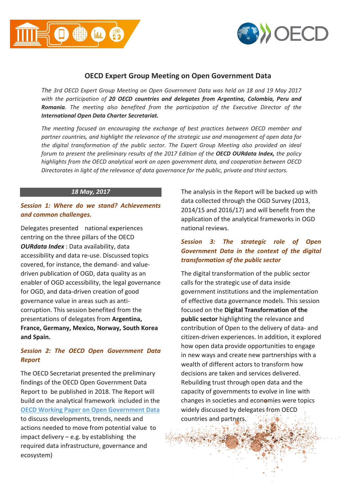



### **OECD Expert Group Meeting on Open Government Data**

*The 3rd OECD Expert Group Meeting on Open Government Data was held on 18 and 19 May 2017 with the participation of 20 OECD countries and delegates from Argentina, Colombia, Peru and Romania. The meeting also benefited from the participation of the Executive Director of the International Open Data Charter Secretariat.* 

*The meeting focused on encouraging the exchange of best practices between OECD member and partner countries, and highlight the relevance of the strategic use and management of open data for the digital transformation of the public sector. The Expert Group Meeting also provided an ideal forum to present the preliminary results of the 2017 Edition of the OECD OURdata Index, the policy highlights from the OECD analytical work on open government data, and cooperation between OECD Directorates in light of the relevance of data governance for the public, private and third sectors.*

#### *18 May, 2017*

#### *Session 1: Where do we stand? Achievements and common challenges.*

Delegates presented national experiences centring on the three pillars of the OECD *OURdata Index* : Data availability, data accessibility and data re-use. Discussed topics covered, for instance, the demand- and valuedriven publication of OGD, data quality as an enabler of OGD accessibility, the legal governance for OGD, and data-driven creation of good governance value in areas such as anticorruption. This session benefited from the presentations of delegates from **Argentina, France, Germany, Mexico, Norway, South Korea and Spain.** 

#### *Session 2: The OECD Open Government Data Report*

The OECD Secretariat presented the preliminary findings of the OECD Open Government Data Report to be published in 2018. The Report will build on the analytical framework included in the **[OECD Working Paper on Open Government Data](http://www.oecd-ilibrary.org/governance/open-government-data_5k46bj4f03s7-en)** to discuss developments, trends, needs and actions needed to move from potential value to impact delivery – e.g. by establishing the required data infrastructure, governance and ecosystem)

The analysis in the Report will be backed up with data collected through the OGD Survey (2013, 2014/15 and 2016/17) and will benefit from the application of the analytical frameworks in OGD national reviews.

#### *Session 3: The strategic role of Open Government Data in the context of the digital transformation of the public sector*

The digital transformation of the public sector calls for the strategic use of data inside government institutions and the implementation of effective data governance models. This session focused on the **Digital Transformation of the public sector** highlighting the relevance and contribution of Open to the delivery of data- and citizen-driven experiences. In addition, it explored how open data provide opportunities to engage in new ways and create new partnerships with a wealth of different actors to transform how decisions are taken and services delivered. Rebuilding trust through open data and the capacity of governments to evolve in line with changes in societies and economies were topics widely discussed by delegates from OECD countries and partners.